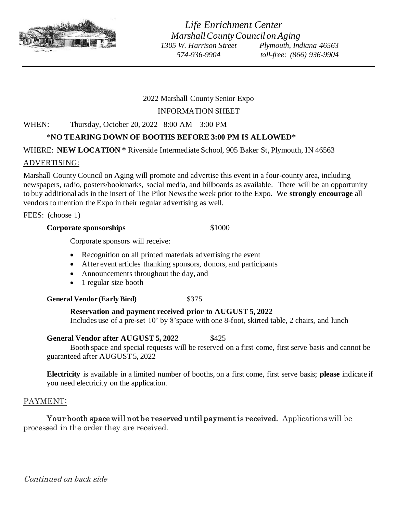

## 2022 Marshall County Senior Expo

## INFORMATION SHEET

## WHEN: Thursday, October 20, 2022 8:00 AM – 3:00 PM

## \***NO TEARING DOWN OF BOOTHS BEFORE 3:00 PM IS ALLOWED\***

## WHERE: **NEW LOCATION \*** Riverside Intermediate School, 905 Baker St, Plymouth, IN 46563

## ADVERTISING:

Marshall County Council on Aging will promote and advertise this event in a four-county area, including newspapers, radio, posters/bookmarks, social media, and billboards as available. There will be an opportunity to buy additional ads in the insert of The Pilot News the week prior to the Expo. We **strongly encourage** all vendors to mention the Expo in their regular advertising as well.

FEES: (choose 1)

#### **Corporate sponsorships** \$1000

Corporate sponsors will receive:

- Recognition on all printed materials advertising the event
- After event articles thanking sponsors, donors, and participants
- Announcements throughout the day, and
- 1 regular size booth

## **General Vendor (Early Bird)** \$375

## **Reservation and payment received prior to AUGUST 5, 2022**

Includes use of a pre-set 10' by 8'space with one 8-foot, skirted table, 2 chairs, and lunch

## General Vendor after AUGUST 5, 2022 \$425

Booth space and special requests will be reserved on a first come, first serve basis and cannot be guaranteed after AUGUST 5, 2022

**Electricity** is available in a limited number of booths, on a first come, first serve basis; **please** indicate if you need electricity on the application.

# PAYMENT:

Your booth space will not be reserved until payment is received. Applications will be processed in the order they are received.

Continued on back side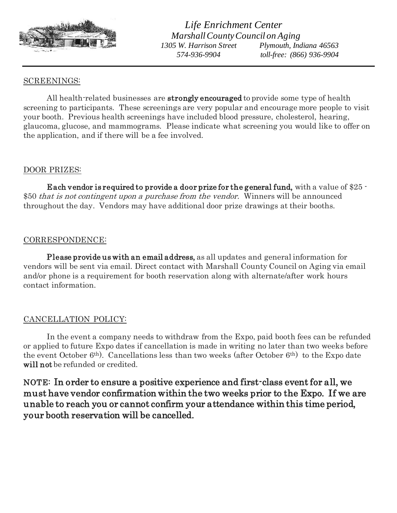

## SCREENINGS:

All health-related businesses are **strongly encouraged** to provide some type of health screening to participants. These screenings are very popular and encourage more people to visit your booth. Previous health screenings have included blood pressure, cholesterol, hearing, glaucoma, glucose, and mammograms. Please indicate what screening you would like to offer on the application, and if there will be a fee involved.

#### DOOR PRIZES:

 Each vendor is required to provide a door prize for the general fund, with a value of \$25 - \$50 *that is not contingent upon a purchase from the vendor.* Winners will be announced throughout the day. Vendors may have additional door prize drawings at their booths.

## CORRESPONDENCE:

Please provide us with an email address, as all updates and general information for vendors will be sent via email. Direct contact with Marshall County Council on Aging via email and/or phone is a requirement for booth reservation along with alternate/after work hours contact information.

## CANCELLATION POLICY:

In the event a company needs to withdraw from the Expo, paid booth fees can be refunded or applied to future Expo dates if cancellation is made in writing no later than two weeks before the event October 6th). Cancellations less than two weeks (after October 6th) to the Expo date will not be refunded or credited.

NOTE: In order to ensure a positive experience and first-class event for all, we must have vendor confirmation within the two weeks prior to the Expo. If we are unable to reach you or cannot confirm your attendance within this time period, your booth reservation will be cancelled.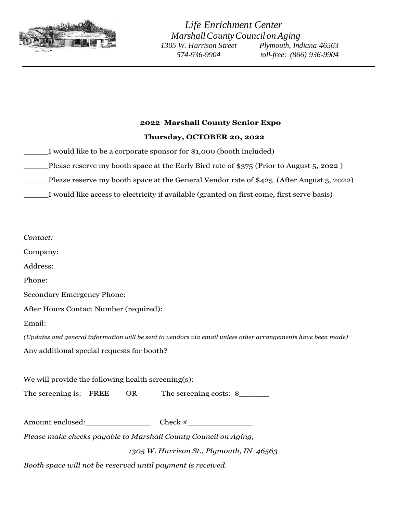

# **<sup>2022</sup> Marshall County Senior Expo**

#### **Thursday, OCTOBER 20, 2022**

- \_\_\_\_\_I would like to be a corporate sponsor for \$1,000 (booth included)
- \_Please reserve my booth space at the Early Bird rate of \$375 (Prior to August 5, 2022 )
- \_\_\_\_\_Please reserve my booth space at the General Vendor rate of \$425 (After August 5, 2022)
- \_\_\_\_\_I would like access to electricity if available (granted on first come, first serve basis)

| Contact:                                                                                                     |
|--------------------------------------------------------------------------------------------------------------|
| Company:                                                                                                     |
| Address:                                                                                                     |
| Phone:                                                                                                       |
| Secondary Emergency Phone:                                                                                   |
| After Hours Contact Number (required):                                                                       |
| Email:                                                                                                       |
| (Updates and general information will be sent to vendors via email unless other arrangements have been made) |
| Any additional special requests for booth?                                                                   |
| We will provide the following health screening(s):                                                           |
| The screening is: FREE OR The screening costs: \$                                                            |
| Amount enclosed: Check #                                                                                     |
| Please make checks payable to Marshall County Council on Aging,                                              |
| 1305 W. Harrison St., Plymouth, IN 46563                                                                     |

*Booth space will not be reserved until payment is received.*